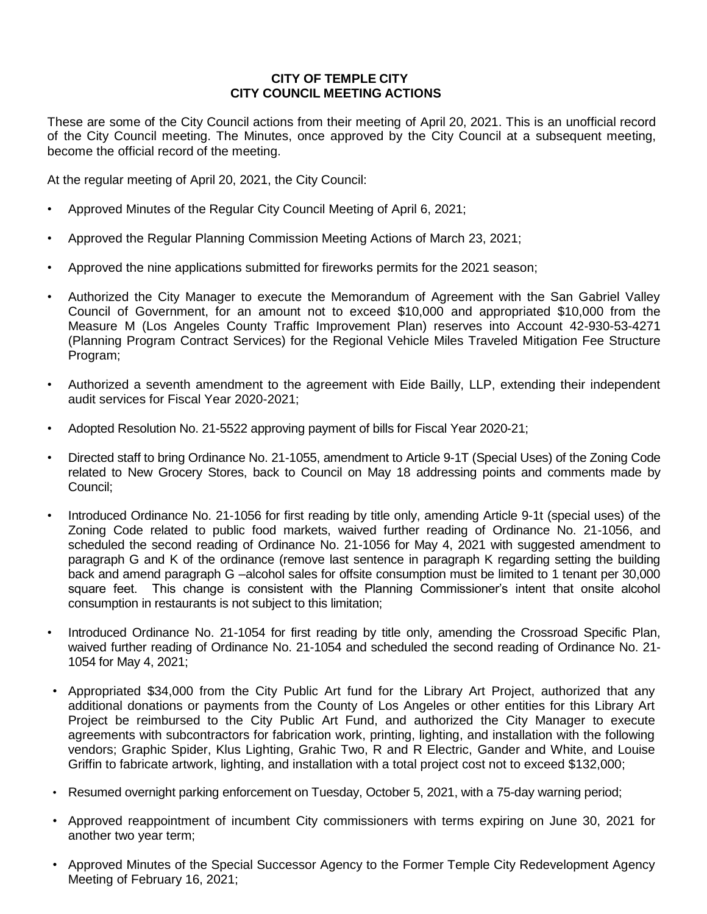## **CITY OF TEMPLE CITY CITY COUNCIL MEETING ACTIONS**

These are some of the City Council actions from their meeting of April 20, 2021. This is an unofficial record of the City Council meeting. The Minutes, once approved by the City Council at a subsequent meeting, become the official record of the meeting.

At the regular meeting of April 20, 2021, the City Council:

- Approved Minutes of the Regular City Council Meeting of April 6, 2021;
- Approved the Regular Planning Commission Meeting Actions of March 23, 2021;
- Approved the nine applications submitted for fireworks permits for the 2021 season;
- Authorized the City Manager to execute the Memorandum of Agreement with the San Gabriel Valley Council of Government, for an amount not to exceed \$10,000 and appropriated \$10,000 from the Measure M (Los Angeles County Traffic Improvement Plan) reserves into Account 42-930-53-4271 (Planning Program Contract Services) for the Regional Vehicle Miles Traveled Mitigation Fee Structure Program;
- Authorized a seventh amendment to the agreement with Eide Bailly, LLP, extending their independent audit services for Fiscal Year 2020-2021;
- Adopted Resolution No. 21-5522 approving payment of bills for Fiscal Year 2020-21;
- Directed staff to bring Ordinance No. 21-1055, amendment to Article 9-1T (Special Uses) of the Zoning Code related to New Grocery Stores, back to Council on May 18 addressing points and comments made by Council;
- Introduced Ordinance No. 21-1056 for first reading by title only, amending Article 9-1t (special uses) of the Zoning Code related to public food markets, waived further reading of Ordinance No. 21-1056, and scheduled the second reading of Ordinance No. 21-1056 for May 4, 2021 with suggested amendment to paragraph G and K of the ordinance (remove last sentence in paragraph K regarding setting the building back and amend paragraph G –alcohol sales for offsite consumption must be limited to 1 tenant per 30,000 square feet. This change is consistent with the Planning Commissioner's intent that onsite alcohol consumption in restaurants is not subject to this limitation;
- Introduced Ordinance No. 21-1054 for first reading by title only, amending the Crossroad Specific Plan, waived further reading of Ordinance No. 21-1054 and scheduled the second reading of Ordinance No. 21- 1054 for May 4, 2021;
- Appropriated \$34,000 from the City Public Art fund for the Library Art Project, authorized that any additional donations or payments from the County of Los Angeles or other entities for this Library Art Project be reimbursed to the City Public Art Fund, and authorized the City Manager to execute agreements with subcontractors for fabrication work, printing, lighting, and installation with the following vendors; Graphic Spider, Klus Lighting, Grahic Two, R and R Electric, Gander and White, and Louise Griffin to fabricate artwork, lighting, and installation with a total project cost not to exceed \$132,000;
- Resumed overnight parking enforcement on Tuesday, October 5, 2021, with a 75-day warning period;
- Approved reappointment of incumbent City commissioners with terms expiring on June 30, 2021 for another two year term;
- Approved Minutes of the Special Successor Agency to the Former Temple City Redevelopment Agency Meeting of February 16, 2021;